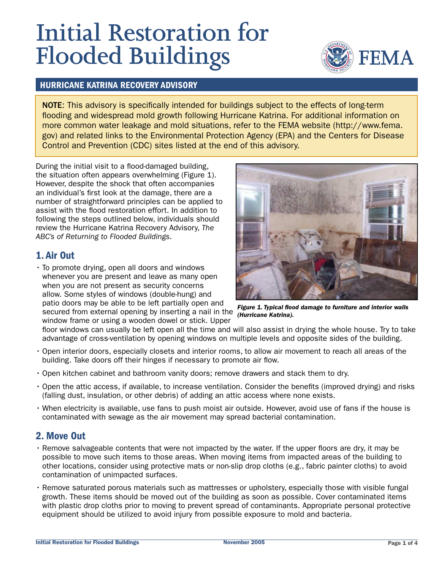# **Initial Restoration for Flooded Buildings**



#### **HURRICANE KATRINA RECOVERY ADVISORY**

NOTE: This advisory is specifically intended for buildings subject to the effects of long-term flooding and widespread mold growth following Hurricane Katrina. For additional information on more common water leakage and mold situations, refer to the FEMA website (http://www.fema. gov) and related links to the Environmental Protection Agency (EPA) and the Centers for Disease Control and Prevention (CDC) sites listed at the end of this advisory.

During the initial visit to a flood-damaged building, the situation often appears overwhelming (Figure 1). However, despite the shock that often accompanies an individual's first look at the damage, there are a number of straightforward principles can be applied to assist with the flood restoration effort. In addition to following the steps outlined below, individuals should review the Hurricane Katrina Recovery Advisory, The ABC's of Returning to Flooded Buildings.

## 1. Air Out

• To promote drying, open all doors and windows whenever you are present and leave as many open when you are not present as security concerns allow. Some styles of windows (double-hung) and patio doors may be able to be left partially open and secured from external opening by inserting a nail in the

window frame or using a wooden dowel or stick. Upper



Figure 1. Typical flood damage to furniture and interior walls (Hurricane Katrina).

floor windows can usually be left open all the time and will also assist in drying the whole house. Try to take advantage of cross-ventilation by opening windows on multiple levels and opposite sides of the building.

- . Open interior doors, especially closets and interior rooms, to allow air movement to reach all areas of the building. Take doors off their hinges if necessary to promote air flow.
- Open kitchen cabinet and bathroom vanity doors; remove drawers and stack them to dry.
- Open the attic access, if available, to increase ventilation. Consider the benefits (improved drying) and risks (falling dust, insulation, or other debris) of adding an attic access where none exists.
- . When electricity is available, use fans to push moist air outside. However, avoid use of fans if the house is contaminated with sewage as the air movement may spread bacterial contamination.

## 2. Move Out

- . Remove salvageable contents that were not impacted by the water. If the upper floors are dry, it may be possible to move such items to those areas. When moving items from impacted areas of the building to other locations, consider using protective mats or non-slip drop cloths (e.g., fabric painter cloths) to avoid contamination of unimpacted surfaces.
- · Remove saturated porous materials such as mattresses or upholstery, especially those with visible fungal growth. These items should be moved out of the building as soon as possible. Cover contaminated items with plastic drop cloths prior to moving to prevent spread of contaminants. Appropriate personal protective equipment should be utilized to avoid injury from possible exposure to mold and bacteria.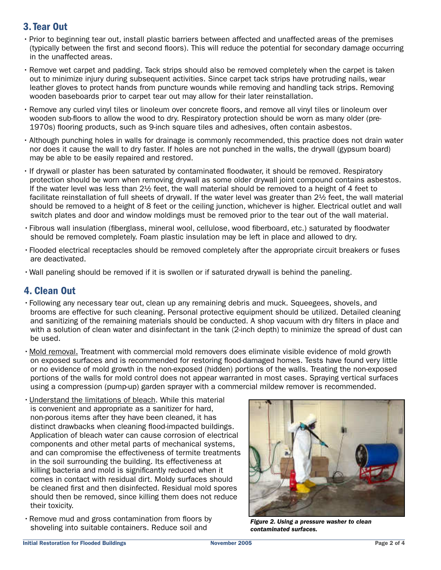# 3. Tear Out

- · Prior to beginning tear out, install plastic barriers between affected and unaffected areas of the premises (typically between the first and second floors). This will reduce the potential for secondary damage occurring in the unaffected areas.
- · Remove wet carpet and padding. Tack strips should also be removed completely when the carpet is taken out to minimize injury during subsequent activities. Since carpet tack strips have protruding nails, wear leather gloves to protect hands from puncture wounds while removing and handling tack strips. Removing wooden baseboards prior to carpet tear out may allow for their later reinstallation.
- . Remove any curled vinyl tiles or linoleum over concrete floors, and remove all vinyl tiles or linoleum over wooden sub-floors to allow the wood to dry. Respiratory protection should be worn as many older (pre-1970s) flooring products, such as 9-inch square tiles and adhesives, often contain asbestos.
- . Although punching holes in walls for drainage is commonly recommended, this practice does not drain water nor does it cause the wall to dry faster. If holes are not punched in the walls, the drywall (gypsum board) may be able to be easily repaired and restored.
- If drywall or plaster has been saturated by contaminated floodwater, it should be removed. Respiratory protection should be worn when removing drywall as some older drywall joint compound contains asbestos. If the water level was less than 21/2 feet, the wall material should be removed to a height of 4 feet to facilitate reinstallation of full sheets of drywall. If the water level was greater than 2½ feet, the wall material should be removed to a height of 8 feet or the ceiling junction, whichever is higher. Electrical outlet and wall switch plates and door and window moldings must be removed prior to the tear out of the wall material.
- · Fibrous wall insulation (fiberglass, mineral wool, cellulose, wood fiberboard, etc.) saturated by floodwater should be removed completely. Foam plastic insulation may be left in place and allowed to dry.
- · Flooded electrical receptacles should be removed completely after the appropriate circuit breakers or fuses are deactivated.
- . Wall paneling should be removed if it is swollen or if saturated drywall is behind the paneling.

## 4. Clean Out

- Following any necessary tear out, clean up any remaining debris and muck. Squeegees, shovels, and brooms are effective for such cleaning. Personal protective equipment should be utilized. Detailed cleaning and sanitizing of the remaining materials should be conducted. A shop vacuum with dry filters in place and with a solution of clean water and disinfectant in the tank (2-inch depth) to minimize the spread of dust can be used.
- · Mold removal. Treatment with commercial mold removers does eliminate visible evidence of mold growth on exposed surfaces and is recommended for restoring flood-damaged homes. Tests have found very little or no evidence of mold growth in the non-exposed (hidden) portions of the walls. Treating the non-exposed portions of the walls for mold control does not appear warranted in most cases. Spraying vertical surfaces using a compression (pump-up) garden sprayer with a commercial mildew remover is recommended.
- · Understand the limitations of bleach. While this material is convenient and appropriate as a sanitizer for hard. non-porous items after they have been cleaned, it has distinct drawbacks when cleaning flood-impacted buildings. Application of bleach water can cause corrosion of electrical components and other metal parts of mechanical systems. and can compromise the effectiveness of termite treatments in the soil surrounding the building. Its effectiveness at killing bacteria and mold is significantly reduced when it comes in contact with residual dirt. Moldy surfaces should be cleaned first and then disinfected. Residual mold spores should then be removed, since killing them does not reduce their toxicity.
- . Remove mud and gross contamination from floors by shoveling into suitable containers. Reduce soil and



Figure 2. Using a pressure washer to clean contaminated surfaces.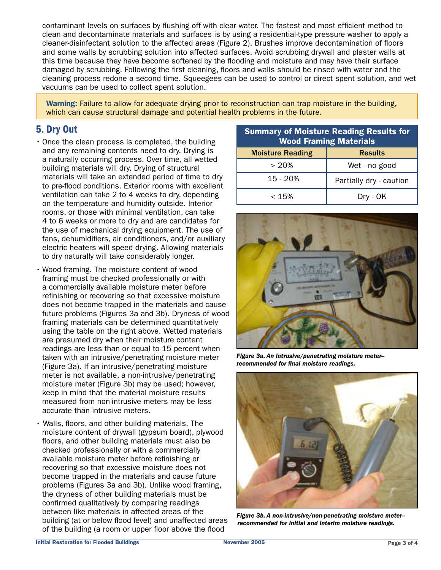contaminant levels on surfaces by flushing off with clear water. The fastest and most efficient method to clean and decontaminate materials and surfaces is by using a residential-type pressure washer to apply a cleaner-disinfectant solution to the affected areas (Figure 2). Brushes improve decontamination of floors and some walls by scrubbing solution into affected surfaces. Avoid scrubbing drywall and plaster walls at this time because they have become softened by the flooding and moisture and may have their surface damaged by scrubbing. Following the first cleaning, floors and walls should be rinsed with water and the cleaning process redone a second time. Squeegees can be used to control or direct spent solution, and wet vacuums can be used to collect spent solution.

Warning: Failure to allow for adequate drying prior to reconstruction can trap moisture in the building, which can cause structural damage and potential health problems in the future.

# 5. Dry Out

- . Once the clean process is completed, the building and any remaining contents need to dry. Drying is a naturally occurring process. Over time, all wetted building materials will dry. Drying of structural materials will take an extended period of time to dry to pre-flood conditions. Exterior rooms with excellent ventilation can take 2 to 4 weeks to dry, depending on the temperature and humidity outside. Interior rooms, or those with minimal ventilation, can take 4 to 6 weeks or more to dry and are candidates for the use of mechanical drying equipment. The use of fans, dehumidifiers, air conditioners, and/or auxiliary electric heaters will speed drying. Allowing materials to dry naturally will take considerably longer.
- . Wood framing. The moisture content of wood framing must be checked professionally or with a commercially available moisture meter before refinishing or recovering so that excessive moisture does not become trapped in the materials and cause future problems (Figures 3a and 3b). Dryness of wood framing materials can be determined quantitatively using the table on the right above. Wetted materials are presumed dry when their moisture content readings are less than or equal to 15 percent when taken with an intrusive/penetrating moisture meter (Figure 3a). If an intrusive/penetrating moisture meter is not available, a non-intrusive/penetrating moisture meter (Figure 3b) may be used; however, keep in mind that the material moisture results measured from non-intrusive meters may be less accurate than intrusive meters.
- . Walls, floors, and other building materials. The moisture content of drywall (gypsum board), plywood floors, and other building materials must also be checked professionally or with a commercially available moisture meter before refinishing or recovering so that excessive moisture does not become trapped in the materials and cause future problems (Figures 3a and 3b). Unlike wood framing, the dryness of other building materials must be confirmed qualitatively by comparing readings between like materials in affected areas of the building (at or below flood level) and unaffected areas of the building (a room or upper floor above the flood

| <b>Summary of Moisture Reading Results for</b><br><b>Wood Framing Materials</b> |                         |
|---------------------------------------------------------------------------------|-------------------------|
| <b>Moisture Reading</b>                                                         | <b>Results</b>          |
| > 20%                                                                           | Wet - no good           |
| $15 - 20%$                                                                      | Partially dry - caution |
| < 15%                                                                           | Dry - OK                |



Figure 3a. An intrusive/penetrating moisture meterrecommended for final moisture readings.



Figure 3b. A non-intrusive/non-penetrating moisture meterrecommended for initial and interim moisture readings.